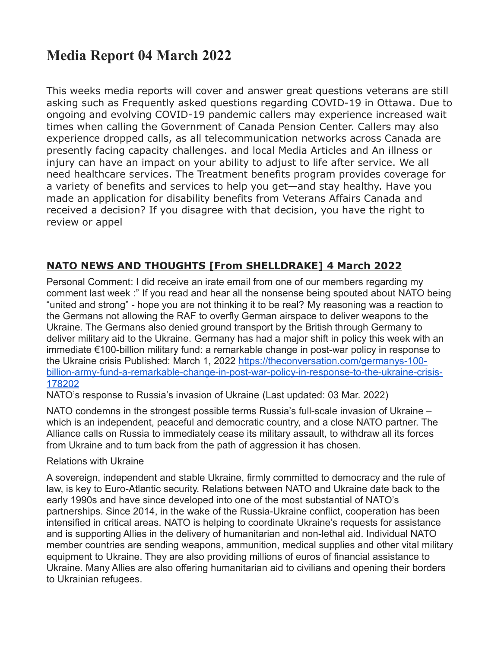# **Media Report 04 March 2022**

This weeks media reports will cover and answer great questions veterans are still asking such as Frequently asked questions regarding COVID-19 in Ottawa. Due to ongoing and evolving COVID-19 pandemic callers may experience increased wait times when calling the Government of Canada Pension Center. Callers may also experience dropped calls, as all telecommunication networks across Canada are presently facing capacity challenges. and local Media Articles and An illness or injury can have an impact on your ability to adjust to life after service. We all need healthcare services. The Treatment benefits program provides coverage for a variety of benefits and services to help you get—and stay healthy. Have you made an application for disability benefits from Veterans Affairs Canada and received a decision? If you disagree with that decision, you have the right to review or appel

## **NATO NEWS AND THOUGHTS [From SHELLDRAKE] 4 March 2022**

Personal Comment: I did receive an irate email from one of our members regarding my comment last week :" If you read and hear all the nonsense being spouted about NATO being "united and strong" - hope you are not thinking it to be real? My reasoning was a reaction to the Germans not allowing the RAF to overfly German airspace to deliver weapons to the Ukraine. The Germans also denied ground transport by the British through Germany to deliver military aid to the Ukraine. Germany has had a major shift in policy this week with an immediate €100-billion military fund: a remarkable change in post-war policy in response to the Ukraine crisis Published: March 1, 2022 [https://theconversation.com/germanys-100](https://theconversation.com/germanys-100-billion-army-fund-a-remarkable-change-in-post-war-policy-in-response-to-the-ukraine-crisis-178202) [billion-army-fund-a-remarkable-change-in-post-war-policy-in-response-to-the-ukraine-crisis-](https://theconversation.com/germanys-100-billion-army-fund-a-remarkable-change-in-post-war-policy-in-response-to-the-ukraine-crisis-178202)[178202](https://theconversation.com/germanys-100-billion-army-fund-a-remarkable-change-in-post-war-policy-in-response-to-the-ukraine-crisis-178202)

NATO's response to Russia's invasion of Ukraine (Last updated: 03 Mar. 2022)

NATO condemns in the strongest possible terms Russia's full-scale invasion of Ukraine – which is an independent, peaceful and democratic country, and a close NATO partner. The Alliance calls on Russia to immediately cease its military assault, to withdraw all its forces from Ukraine and to turn back from the path of aggression it has chosen.

#### Relations with Ukraine

A sovereign, independent and stable Ukraine, firmly committed to democracy and the rule of law, is key to Euro-Atlantic security. Relations between NATO and Ukraine date back to the early 1990s and have since developed into one of the most substantial of NATO's partnerships. Since 2014, in the wake of the Russia-Ukraine conflict, cooperation has been intensified in critical areas. NATO is helping to coordinate Ukraine's requests for assistance and is supporting Allies in the delivery of humanitarian and non-lethal aid. Individual NATO member countries are sending weapons, ammunition, medical supplies and other vital military equipment to Ukraine. They are also providing millions of euros of financial assistance to Ukraine. Many Allies are also offering humanitarian aid to civilians and opening their borders to Ukrainian refugees.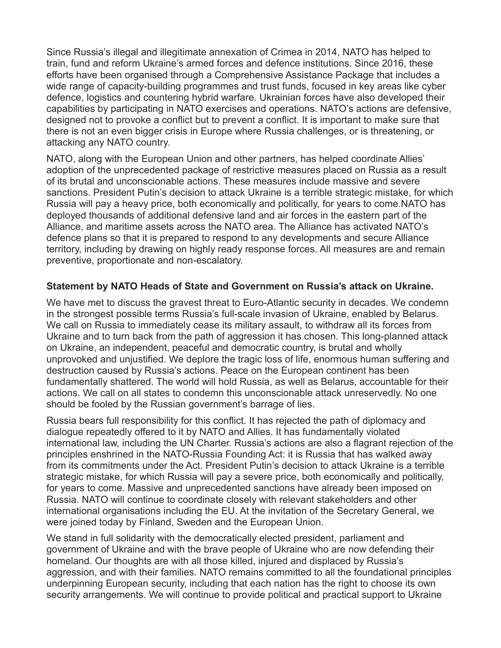Since Russia's illegal and illegitimate annexation of Crimea in 2014, NATO has helped to train, fund and reform Ukraine's armed forces and defence institutions. Since 2016, these efforts have been organised through a Comprehensive Assistance Package that includes a wide range of capacity-building programmes and trust funds, focused in key areas like cyber defence, logistics and countering hybrid warfare. Ukrainian forces have also developed their capabilities by participating in NATO exercises and operations. NATO's actions are defensive, designed not to provoke a conflict but to prevent a conflict. It is important to make sure that there is not an even bigger crisis in Europe where Russia challenges, or is threatening, or attacking any NATO country.

NATO, along with the European Union and other partners, has helped coordinate Allies' adoption of the unprecedented package of restrictive measures placed on Russia as a result of its brutal and unconscionable actions. These measures include massive and severe sanctions. President Putin's decision to attack Ukraine is a terrible strategic mistake, for which Russia will pay a heavy price, both economically and politically, for years to come.NATO has deployed thousands of additional defensive land and air forces in the eastern part of the Alliance, and maritime assets across the NATO area. The Alliance has activated NATO's defence plans so that it is prepared to respond to any developments and secure Alliance territory, including by drawing on highly ready response forces. All measures are and remain preventive, proportionate and non-escalatory.

#### **Statement by NATO Heads of State and Government on Russia's attack on Ukraine.**

We have met to discuss the gravest threat to Euro-Atlantic security in decades. We condemn in the strongest possible terms Russia's full-scale invasion of Ukraine, enabled by Belarus. We call on Russia to immediately cease its military assault, to withdraw all its forces from Ukraine and to turn back from the path of aggression it has chosen. This long-planned attack on Ukraine, an independent, peaceful and democratic country, is brutal and wholly unprovoked and unjustified. We deplore the tragic loss of life, enormous human suffering and destruction caused by Russia's actions. Peace on the European continent has been fundamentally shattered. The world will hold Russia, as well as Belarus, accountable for their actions. We call on all states to condemn this unconscionable attack unreservedly. No one should be fooled by the Russian government's barrage of lies.

Russia bears full responsibility for this conflict. It has rejected the path of diplomacy and dialogue repeatedly offered to it by NATO and Allies. It has fundamentally violated international law, including the UN Charter. Russia's actions are also a flagrant rejection of the principles enshrined in the NATO-Russia Founding Act: it is Russia that has walked away from its commitments under the Act. President Putin's decision to attack Ukraine is a terrible strategic mistake, for which Russia will pay a severe price, both economically and politically, for years to come. Massive and unprecedented sanctions have already been imposed on Russia. NATO will continue to coordinate closely with relevant stakeholders and other international organisations including the EU. At the invitation of the Secretary General, we were joined today by Finland, Sweden and the European Union.

We stand in full solidarity with the democratically elected president, parliament and government of Ukraine and with the brave people of Ukraine who are now defending their homeland. Our thoughts are with all those killed, injured and displaced by Russia's aggression, and with their families. NATO remains committed to all the foundational principles underpinning European security, including that each nation has the right to choose its own security arrangements. We will continue to provide political and practical support to Ukraine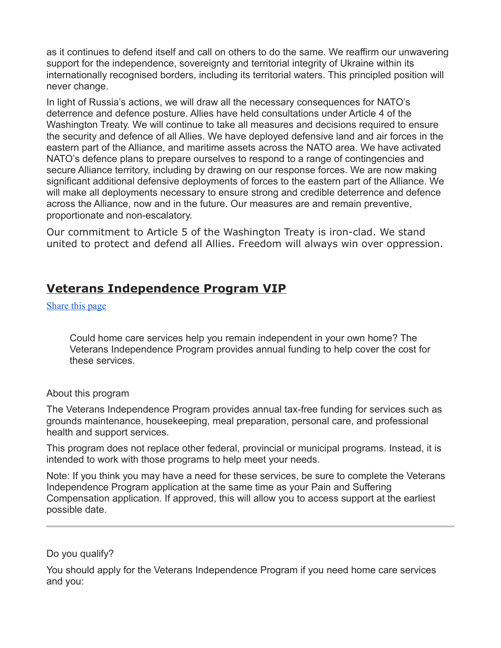as it continues to defend itself and call on others to do the same. We reaffirm our unwavering support for the independence, sovereignty and territorial integrity of Ukraine within its internationally recognised borders, including its territorial waters. This principled position will never change.

In light of Russia's actions, we will draw all the necessary consequences for NATO's deterrence and defence posture. Allies have held consultations under Article 4 of the Washington Treaty. We will continue to take all measures and decisions required to ensure the security and defence of all Allies. We have deployed defensive land and air forces in the eastern part of the Alliance, and maritime assets across the NATO area. We have activated NATO's defence plans to prepare ourselves to respond to a range of contingencies and secure Alliance territory, including by drawing on our response forces. We are now making significant additional defensive deployments of forces to the eastern part of the Alliance. We will make all deployments necessary to ensure strong and credible deterrence and defence across the Alliance, now and in the future. Our measures are and remain preventive, proportionate and non-escalatory.

Our commitment to Article 5 of the Washington Treaty is iron-clad. We stand united to protect and defend all Allies. Freedom will always win over oppression.

## **Veterans Independence Program VIP**

[Share this page](https://www.veterans.gc.ca/eng/housing-and-home-life/help-at-home/veterans-independence-program#shr-pg-pnl1)

Could home care services help you remain independent in your own home? The Veterans Independence Program provides annual funding to help cover the cost for these services.

#### About this program

The Veterans Independence Program provides annual tax-free funding for services such as grounds maintenance, housekeeping, meal preparation, personal care, and professional health and support services.

This program does not replace other federal, provincial or municipal programs. Instead, it is intended to work with those programs to help meet your needs.

Note: If you think you may have a need for these services, be sure to complete the Veterans Independence Program application at the same time as your Pain and Suffering Compensation application. If approved, this will allow you to access support at the earliest possible date.

#### Do you qualify?

You should apply for the Veterans Independence Program if you need home care services and you: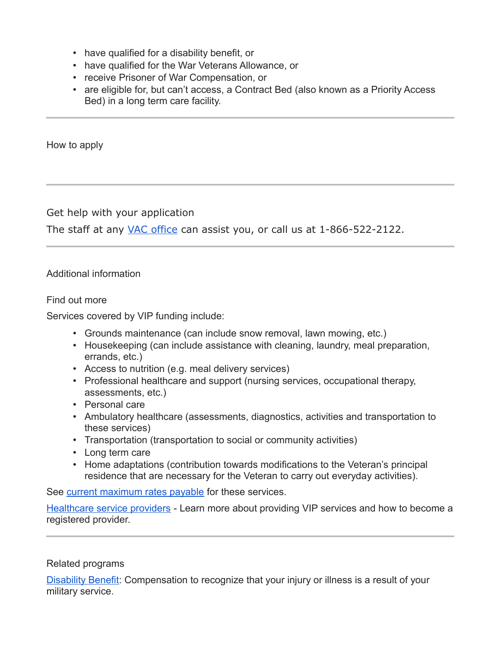- have qualified for a disability benefit, or
- have qualified for the War Veterans Allowance, or
- receive Prisoner of War Compensation, or
- are eligible for, but can't access, a Contract Bed (also known as a Priority Access Bed) in a long term care facility.

How to apply

Get help with your application

The staff at any [VAC office](https://www.veterans.gc.ca/eng/contact) can assist you, or call us at 1-866-522-2122.

#### Additional information

Find out more

Services covered by VIP funding include:

- Grounds maintenance (can include snow removal, lawn mowing, etc.)
- Housekeeping (can include assistance with cleaning, laundry, meal preparation, errands, etc.)
- Access to nutrition (e.g. meal delivery services)
- Professional healthcare and support (nursing services, occupational therapy, assessments, etc.)
- Personal care
- Ambulatory healthcare (assessments, diagnostics, activities and transportation to these services)
- Transportation (transportation to social or community activities)
- Long term care
- Home adaptations (contribution towards modifications to the Veteran's principal residence that are necessary for the Veteran to carry out everyday activities).

See [current maximum rates payable](https://www.veterans.gc.ca/eng/resources/rates#vip) for these services.

[Healthcare service providers](https://www.veterans.gc.ca/eng/health-support/information-for-healthcare-service-providers) - Learn more about providing VIP services and how to become a registered provider.

#### Related programs

[Disability Benefit:](https://www.veterans.gc.ca/eng/health-support/physical-health-and-wellness/compensation-illness-injury/disability-benefits) Compensation to recognize that your injury or illness is a result of your military service.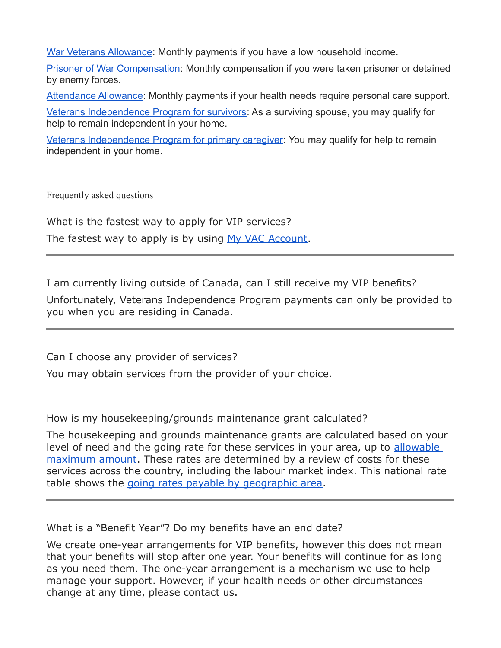[War Veterans Allowance:](https://www.veterans.gc.ca/eng/financial-support/income-support/war-veterans-allowance) Monthly payments if you have a low household income.

[Prisoner of War Compensation:](https://www.veterans.gc.ca/eng/financial-support/prisoner-of-war-benefits/prisoner-of-war-compensation) Monthly compensation if you were taken prisoner or detained by enemy forces.

[Attendance Allowance:](https://www.veterans.gc.ca/eng/health-support/physical-health-and-wellness/compensation-illness-injury/attendance-allowance) Monthly payments if your health needs require personal care support.

[Veterans Independence Program for survivors:](https://www.veterans.gc.ca/eng/housing-and-home-life/help-at-home/veterans-independence-program-survivors) As a surviving spouse, you may qualify for help to remain independent in your home.

[Veterans Independence Program for primary caregiver:](https://www.veterans.gc.ca/eng/housing-and-home-life/help-at-home/veterans-independence-program-caregivers) You may qualify for help to remain independent in your home.

Frequently asked questions

What is the fastest way to apply for VIP services? The fastest way to apply is by using [My VAC Account.](https://www.veterans.gc.ca/eng/e_services)

I am currently living outside of Canada, can I still receive my VIP benefits?

Unfortunately, Veterans Independence Program payments can only be provided to you when you are residing in Canada.

Can I choose any provider of services?

You may obtain services from the provider of your choice.

How is my housekeeping/grounds maintenance grant calculated?

The housekeeping and grounds maintenance grants are calculated based on your level of need and the going rate for these services in your area, up to allowable [maximum amount.](https://www.veterans.gc.ca/pdf//services/rates/max-vip-rates-2021.pdf) These rates are determined by a review of costs for these services across the country, including the labour market index. This national rate table shows the [going rates payable by geographic area.](https://www.veterans.gc.ca/pdf/rates/vip-nat-rat2021.pdf)

What is a "Benefit Year"? Do my benefits have an end date?

We create one-year arrangements for VIP benefits, however this does not mean that your benefits will stop after one year. Your benefits will continue for as long as you need them. The one-year arrangement is a mechanism we use to help manage your support. However, if your health needs or other circumstances change at any time, please contact us.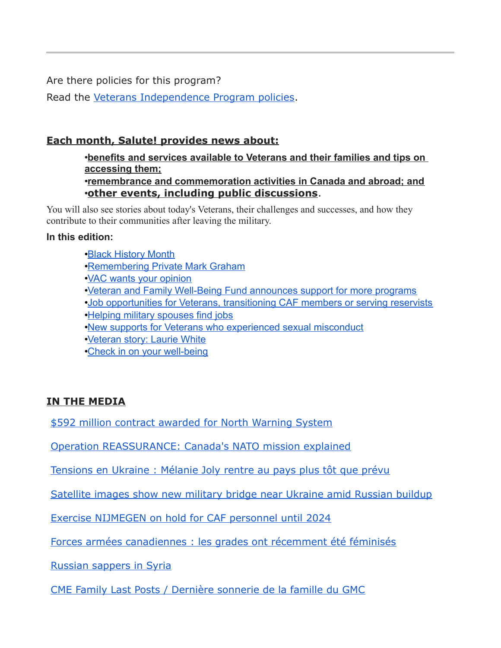Are there policies for this program?

Read the [Veterans Independence Program policies.](https://www.veterans.gc.ca/eng/about-vac/legislation-policies/policies/category/30)

## **Each month, Salute! provides news about:**

•**benefits and services available to Veterans and their families and tips on accessing them;** •**remembrance and commemoration activities in Canada and abroad; and** •**other events, including public discussions**.

You will also see stories about today's Veterans, their challenges and successes, and how they contribute to their communities after leaving the military.

#### **In this edition:**

- •[Black History Month](https://www.veterans.gc.ca/eng/about-vac/news-media/salute/2022-02?utm_source=MVA&utm_medium=Salute&utm_campaign=February22&utm_term=salute#1)
- •[Remembering Private Mark Graham](https://www.veterans.gc.ca/eng/about-vac/news-media/salute/2022-02?utm_source=MVA&utm_medium=Salute&utm_campaign=February22&utm_term=salute#2)
- •[VAC wants your opinion](https://www.veterans.gc.ca/eng/about-vac/news-media/salute/2022-02?utm_source=MVA&utm_medium=Salute&utm_campaign=February22&utm_term=salute#3)
- •[Veteran and Family Well-Being Fund announces support for more programs](https://www.veterans.gc.ca/eng/about-vac/news-media/salute/2022-02?utm_source=MVA&utm_medium=Salute&utm_campaign=February22&utm_term=salute#4)
- •[Job opportunities for Veterans, transitioning CAF members or serving reservists](https://www.veterans.gc.ca/eng/about-vac/news-media/salute/2022-02?utm_source=MVA&utm_medium=Salute&utm_campaign=February22&utm_term=salute#5)
- •[Helping military spouses find jobs](https://www.veterans.gc.ca/eng/about-vac/news-media/salute/2022-02?utm_source=MVA&utm_medium=Salute&utm_campaign=February22&utm_term=salute#6)
- •[New supports for Veterans who experienced sexual misconduct](https://www.veterans.gc.ca/eng/about-vac/news-media/salute/2022-02?utm_source=MVA&utm_medium=Salute&utm_campaign=February22&utm_term=salute#7)
- •[Veteran story: Laurie White](https://www.veterans.gc.ca/eng/about-vac/news-media/salute/2022-02?utm_source=MVA&utm_medium=Salute&utm_campaign=February22&utm_term=salute#8)
- •[Check in on your well-being](https://www.veterans.gc.ca/eng/about-vac/news-media/salute/2022-02?utm_source=MVA&utm_medium=Salute&utm_campaign=February22&utm_term=salute#9)

## **IN THE MEDIA**

[\\$592 million contract awarded for North Warning System](http://sm1.multiview.com/t/gcH1AAgbaBPWMTIiQLH45CU2rWaaCCuFQRUoaaaaCCuBRBR-S8aa?n=zYjVxUtmlckfj~25y6Vkfr.hkn~amp;j=nkXhlghyZoYrX~25AuhYrf.tYz~amp;f=F~amp;r=)

[Operation REASSURANCE: Canada's NATO mission explained](http://sm1.multiview.com/t/gcH1AAgbaBPWMTIiQLH45CU2rWaaCCuFQRUoaaaaCCuBRBR-S8aa?n=zYjVxUtmlckfj~25y6Vkfr.hkn~amp;j=nkXhlghyZoYrX~25AuhYrf.tYz~amp;f=HV~amp;3=)

[Tensions en Ukraine : Mélanie Joly rentre au pays plus tôt que prévu](http://sm1.multiview.com/t/gcH1AAgbaBPWMTIiQLH45CU2rWaaCCuFQRUoaaaaCCuBRBR-S8aa?n=zYjVxUtmlckfj~25y6Vkfr.hkn~amp;j=nkXhlghyZoYrX~25AuhYrf.tYz~amp;f=HX~amp;3=)

[Satellite images show new military bridge near Ukraine amid Russian buildup](http://sm1.multiview.com/t/gcH1AAgbaBPWMTIiQLH45CU2rWaaCCuFQRUoaaaaCCuBRBR-S8aa?n=zYjVxUtmlckfj~25y6Vkfr.hkn~amp;j=nkXhlghyZoYrX~25AuhYrf.tYz~amp;f=HZ~amp;3=)

[Exercise NIJMEGEN on hold for CAF personnel until 2024](http://sm1.multiview.com/t/gcH1AAgbaBPWMTIiQLH45CU2rWaaCCuFQRUoaaaaCCuBRBR-S8aa?n=zYjVxUtmlckfj~25y6Vkfr.hkn~amp;j=nkXhlghyZoYrX~25AuhYrf.tYz~amp;f=5~amp;r=)

[Forces armées canadiennes : les grades ont récemment été féminisés](http://sm1.multiview.com/t/gcH1AAgbaBPWMTIiQLH45CU2rWaaCCuFQRUoaaaaCCuBRBR-S8aa?n=zYjVxUtmlckfj~25y6Vkfr.hkn~amp;j=nkXhlghyZoYrX~25AuhYrf.tYz~amp;f=Hd~amp;3=)

[Russian sappers in Syria](http://sm1.multiview.com/t/gcH1AAgbaBPWMTIiQLH45CU2rWaaCCuFQRUoaaaaCCuBRBR-S8aa?n=zYjVxUtmlckfj~25y6Vkfr.hkn~amp;j=nkXhlghyZoYrX~25AuhYrf.tYz~amp;f=Hf~amp;3=)

[CME Family Last Posts / Dernière sonnerie de la famille du GMC](http://sm1.multiview.com/t/gcH1AAgbaBPWMTIiQLH45CU2rWaaCCuFQRUoaaaaCCuBRBR-S8aa?n=zYjVxUtmlckfj~25y6Vkfr.hkn~amp;j=nkXhlghyZoYrX~25AuhYrf.tYz~amp;f=m~amp;r=)